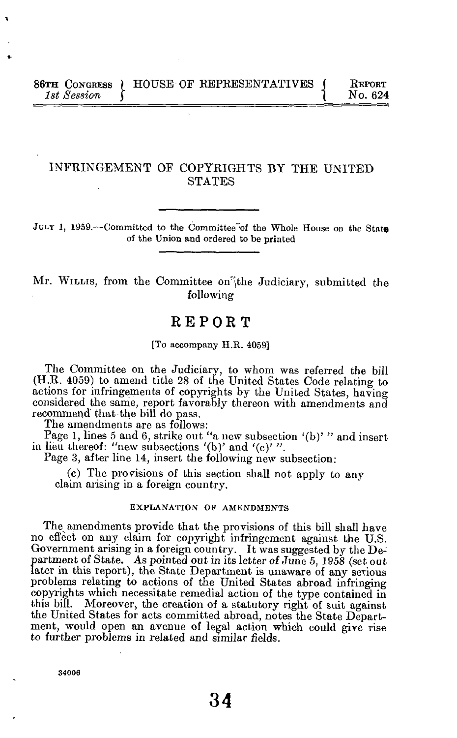## INFRINGEMENT OF COPYRIGHTS BY THE UNITED **STATES**

JULY 1, 1959.—Committed to the Committee"of the Whole House on the State of the Union and ordered to be printed

Mr. WILLIS, from the Committee on the Judiciary, submitted the following

# REPOR T

[To accompany H.R. 4059]

The Committee on the Judiciary, to whom was referred the bill (H.R. 4059) to amend title 28 of the United States Code relating to actions for infringements of copyrights by the United States, having considered the same, report favorably thereon with amendments and recommend that-the bill do pass.

The amendments are as follows:

Page 1, lines 5 and 6, strike out "a new subsection '(b)' " and insert in lieu thereof: "new subsections  $'(b)$  and  $'(c)$ ".

Page 3, after line 14, insert the following new subsection:

(c) The provisions of this section shall not apply to any claim arising in a foreign country.

### EXPLANATION OF AMENDMENTS

The amendments provide that the provisions of this bill shall have no effect on any claim for copyright infringement against the U.S. Government arising in a foreign country. It was suggested by the Department of State. As pointed out in its letter of June 5, 1958 (set out later in this report), the State Department is unaware of any serious problems relating to actions of the United States abroad infringing copyrights which necessitate remedial action of the type contained in this bill. Moreover, the creation of a statutory right of suit against. Moreover, the creation of a statutory right of suit against the United States for acts committed abroad, notes the State Department, would open an avenue of legal action which could give rise to further problems in related and similar fields.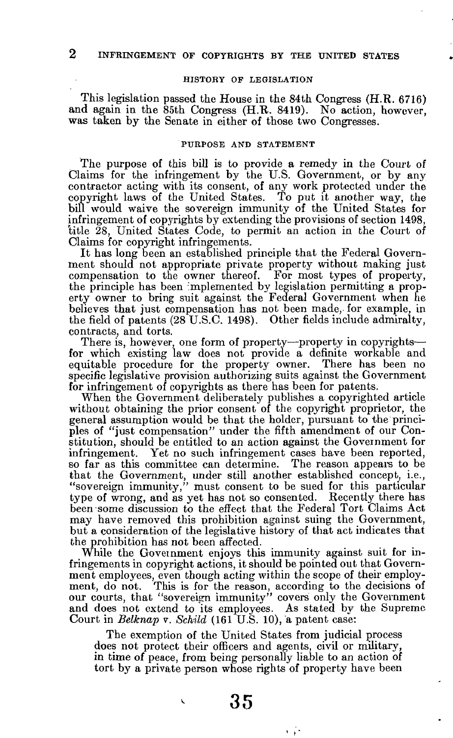### HISTORY OF LEGISLATION

This legislation passed the House in the 84th Congress (H.R. 6716) and again in the  $85th$  Congress (H.R. 8419). No action, however, was taken by the Senate in either of those two Congresses.

### PURPOSE AND STATEMENT

The purpose of this bill is to provide a remedy in the Court of Claims for the infringement by the U.S. Government, or by any contractor acting with its consent, of any work protected under the copyright laws of the United States. To put it another way, the bill would waive the sovereign immunity of the United States for infringement of copyrights by extending the provisions of section 1498, title 28, United States Code, to permit an action in the Court of Claims for copyright infringements.

It has long been an established principle that the Federal Government should not appropriate private property without making just compensation to the owner thereof. For most types of property, the principle has been implemented by legislation permitting a property owner to bring suit against the Federal Government when he believes that just compensation has not been made, for example, in the field of patents (28 U.S.C. 1498). Other fields include admiralty, contracts, and torts.

There is, however, one form of property—property in copyrights for which existing law does not provide a definite workable and equitable procedure for the property owner. There has been no specific legislative provision authorizing suits against the Government for infringement of copyrights as there has been for patents.

When the Government deliberately publishes a copyrighted article without obtaining the prior consent of the copyright proprietor, the general assumption would be that the holder, pursuant to the principles of "just compensation" under the fifth amendment of our Constitution, should be entitled to an action against the Government for infringement. Yet no such infringement cases have been reported, so far as this committee can determine. The reason appears to be that the Government, under still another established concept, i.e., "sovereign immunity," must consent to be sued for this particular type of wrong, and as yet has not so consented. Recently there has been some discussion to the effect that the Federal Tort Claims Act may have removed this prohibition against suing the Government, but a consideration of the legislative history of that act indicates that the prohibition has not been affected.

While the Government enjoys this immunity against suit for infringements in copyright actions, it should be pointed out that Government employees, even though acting within the scope of their employment, do not. This is for the reason, according to the decisions of our courts, that "sovereign immunity" covers only the Government and does not extend to its employees. As stated by the Supreme Court in *Belknap v. Schild* (161 U.S. 10), a patent case:

The exemption of the United States from judicial process does not protect their officers and agents, civil or military, in time of peace, from being personally liable to an action of tort by a private person whose rights of property have been

**35** 

a jir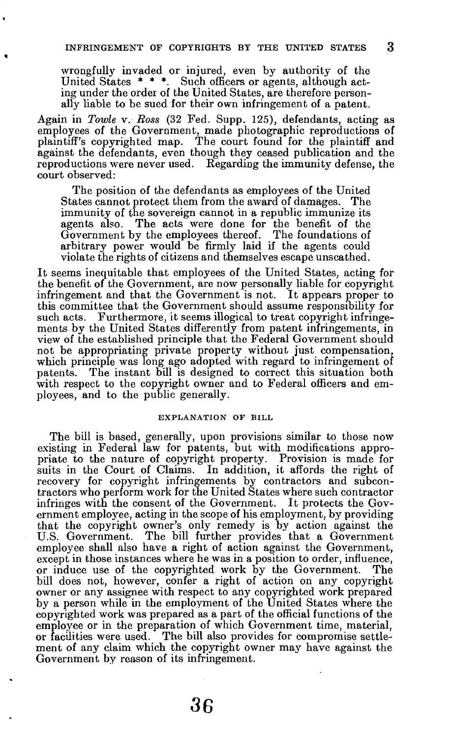wrongfully invaded or injured, even by authority of the United States  $***$ . Such officers or agents, although acting under the order of the United States, are therefore personally liable to be sued for their own infringement of a patent.

Again in *Towle* v. *Ross* (32 Fed. Supp. 125), defendants, acting as employees of the Government, made photographic reproductions of plaintiff's copyrighted map. The court found for the plaintiff and against the defendants, even though they ceased publication and the reproductions were never used. Regarding the immunity defense, the court observed:

The position of the defendants as employees of the United States cannot protect them from the award of damages. The immunity of the sovereign cannot in a republic immunize its agents also. The acts were done for the benefit of the Government by the employees thereof. The foundations of arbitrary power would be firmly laid if the agents could violate the rights of citizens and themselves escape unscathed.

It seems inequitable that employees of the United States, acting for the benefit of the Government, are now personally liable for copyright infringement and that the Government is not. It appears proper to this committee that the Government should assume responsibility for such acts. Furthermore, it seems illogical to treat copyright infringements by the United States differently from patent infringements, in view of the established principle that the Federal Government should not be appropriating private property without just compensation, which principle was long ago adopted with regard to infringement of patents. The instant bill is designed to correct this situation both with respect to the copyright owner and to Federal officers and employees, and to the public generally.

### EXPLANATION OF BILL

The bill is based, generally, upon provisions similar to those now existing in Federal law for patents, but with modifications appropriate to the nature of copyright property. Provision is made for suits in the Court of Claims. In addition, it affords the right of recovery for copyright infringements by contractors and subcontractors who perform work for the United States where such contractor infringes with the consent of the Government. It protects the Government employee, acting in the scope of his employment, by providing that the copyright owner's only remedy is by action against the U.S. Government. The bill further provides that a Government employee shall also have a right of action against the Government, except in those instances where he was in a position to order, influence, or induce use of the copyrighted work by the Government. The bill does not, however, confer a right of action on any copyright owner or any assignee with respect to any copyrighted work prepared by a person while in the employment of the United States where the copyrighted work was prepared as a part of the official functions of the employee or in the preparation of which Government time, material, or facilities were used. The bill also provides for compromise settlement of any claim which the copyright owner may have against the Government by reason of its infringement.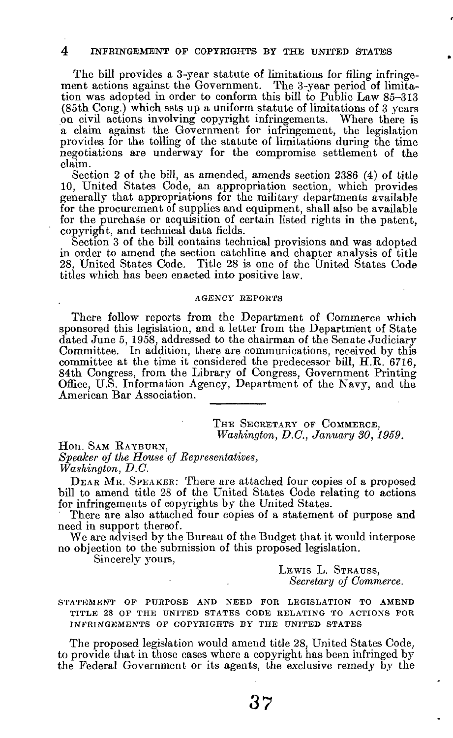The bill provides a 3-year statute of limitations for filing infringement actions against the Government. The 3-year period of limitation was adopted in order to conform this bill to Public Law 85-313 (85th Cong.) which sets up a uniform statute of limitations of 3 years on civil actions involving copyright infringements. Where there is a claim against the Government for infringement, the legislation provides for the tolling of the statute of limitations during the time negotiations are underway for the compromise settlement of the claim.

Section 2 of the bill, as amended, amends section 2386 (4) of title 10, United States Code, an appropriation section, which provides generally that appropriations for the military departments available for the procurement of supplies and equipment, shall also be available for the purchase or acquisition of certain listed rights in the patent, copyright, and technical data fields.

Section 3 of the bill contains technical provisions and was adopted in order to amend the section catchline and chapter analysis of title 28, United States Code. Title 28 is one of the United States Code titles which has been enacted into positive law.

#### AGENCY REPORTS

There follow reports from the Department of Commerce which sponsored this legislation, and a letter from the Department of State dated June 5, 1958, addressed to the chairman of the Senate Judiciary Committee. In addition, there are communications, received by this committee at the time it considered the predecessor bill, H.R. 6716, 84th Congress, from the Library of Congress, Government Printing Office, U.S. Information Agency, Department of the Navy, and the American Bar Association.

> THE SECRETARY OF COMMERCE, *Washington, D.C., January 30, 1959.*

Hon. SAM RAYBURN, *Speaker of the House of Representatives, Washington, D.C.* 

DEAR MR. SPEAKER: There are attached four copies of a proposed bill to amend title 28 of the United States Code relating to actions for infringements of copyrights by the United States.

There are also attached four copies of a statement of purpose and need in support thereof.

We are advised by the Bureau of the Budget that it would interpose no objection to the submission of this proposed legislation.

Sincerely yours,

LEWIS L. STRAUSS, *Secretary of Commerce.* 

STATEMENT OF PURPOSE AND NEED FOR LEGISLATION TO AMEND TITLE 28 OF THE UNITED STATES CODE RELATING TO ACTIONS FOR INFRINGEMENTS OF COPYRIGHTS BY THE UNITED STATES

The proposed legislation would amend title 28, United States Code, to provide that in those cases where a copyright has been infringed by the Federal Government or its agents, the exclusive remedy by the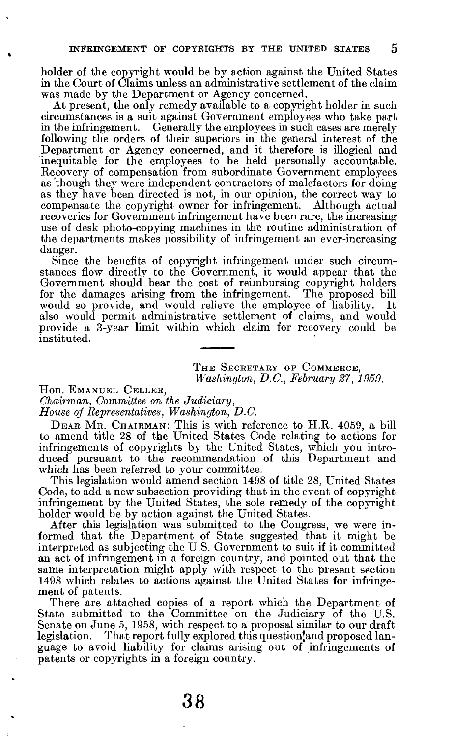holder of the copyright would be by action against the United States in the Court of Claims unless an administrative settlement of the claim was made by the Department or Agency concerned.

At present, the only remedy available to a copyright holder in such circumstances is a suit against Government employees who take part in the infringement. Generally the employees in such cases are merely following the orders of their superiors in the general interest of the Department or Agency concerned, and it therefore is illogical and inequitable for the employees to be held personally accountable. Recovery of compensation from subordinate Government employees as though they were independent contractors of malefactors for doing as they have been directed is not, in our opinion, the correct way to compensate the copyright owner for infringement. Although actual recoveries for Government infringement have been rare, the increasing use of desk photo-copying machines in the routine administration of the departments makes possibility of infringement an ever-increasing danger.

Since the benefits of copyright infringement under such circumstances flow directly to the Government, it would appear that the Government should bear the cost of reimbursing copyright holders for the damages arising from the infringement. The proposed bill would so provide, and would relieve the employee of liability. It also would permit administrative settlement of claims, and would provide a 3-year limit within which claim for recovery could be instituted.

> THE SECRETARY OF COMMERCE, *Washington, B.C., February 27, 1959.*

Hon. EMANUEL CELLER,

*Chairman, Committee on the Judiciary,* 

*House oj Representatives, Washington, D.C.* 

DEAR MR. CHAIRMAN: This is with reference to H.R. 4059, a bill to amend title 28 of the United States Code relating to actions for infringements of copyrights by the United States, which you introduced pursuant to the recommendation of this Department and which has been referred to your committee.

This legislation would amend section 1498 of title 28, United States Code, to add a new subsection providing that in the event of copyright infringement by the United States, the sole remedy of the copyright holder would be by action against the United States.

After this legislation was submitted to the Congress, we were informed that the Department of State suggested that it might be interpreted as subjecting the U.S. Government to suit if it committed an act of infringement in a foreign country, and pointed out that the same interpretation might apply with respect to the present section 1498 which relates to actions against the United States for infringement of patents.

There are attached copies of a report which the Department of State submitted to the Committee on the Judiciary of the U.S. Senate on June 5, 1958, with respect to a proposal similar to our draft legislation. That report fully explored this question'and proposed language to avoid liability for claims arising out of infringements of patents or copyrights in a foreign country.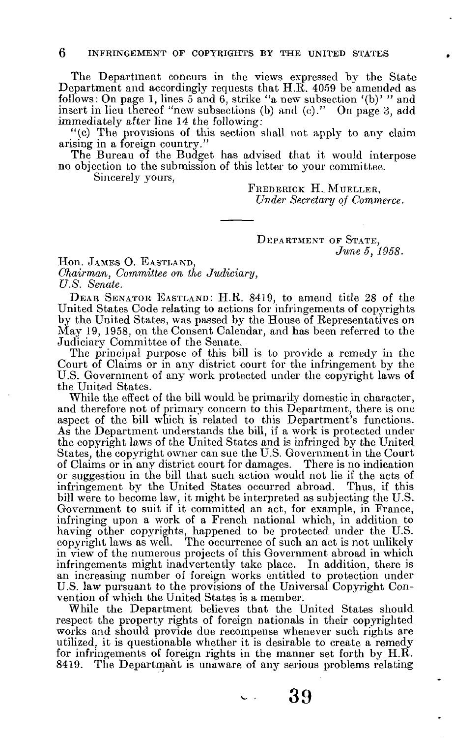The Department concurs in the views expressed by the State Department and accordingly requests that H.R. 4059 be amended as follows: On page 1, lines  $5$  and  $6$ , strike "a new subsection '(b)' " and insert in lieu thereof "new subsections (b) and (c)." On page 3, add immediately after line 14 the following:

"(c) The provisions of this section shall not apply to any claim arising in a foreign country."

The Bureau of the Budget has advised that it would interpose no objection to the submission of this letter to your committee.

Sincerely yours,

FREDERICK H.. MUELLER, *Under Secretary of Commerce.* 

### DEPARTMENT OF STATE, *June 5, 1958.*

Hon. JAMES O. EASTLAND, *Chairman, Committee on the Judiciary, U.S. Senate.* 

DEAR SENATOR EASTLAND: H.R. 8419, to amend title 28 of the United States Code relating to actions for infringements of copyrights by the United States, was passed by the House of Representatives on May 19, 1958, on the Consent Calendar, and has been referred to the Judiciary Committee of the Senate.

The principal purpose of this bill is to provide a remedy in the Court of Claims or in any district court for the infringement by the U.S. Government of any work protected under the copyright laws of the United States.

While the effect of the bill would be primarily domestic in character, and therefore not of primary concern to this Department, there is one aspect of the bill which is related to this Department's functions. As the Department understands the bill, if a work is protected under the copyright laws of the United States and is infringed by the United States, the copyright owner can sue the U.S. Government in the Court of Claims or in any district court for damages. There is no indication or suggestion in the bill that such action would not lie if the acts of infringement by the United States occurred abroad. Thus, if this bill were to become law, it might be interpreted as subjecting the U.S. Government to suit if it committed an act, for example, in France, infringing upon a work of a French national which, in addition to having other copyrights, happened to be protected under the U.S. copyright laws as well. The occurrence of such an act is not unlikely in view of the numerous projects of this Government abroad in which infringements might inadvertently take place. In addition, there is an increasing number of foreign works entitled to protection under U.S. law pursuant to the provisions of the Universal Copyright Convention of which the United States is a member.

While the Department believes that the United States should respect the property rights of foreign nationals in their copyrighted works and should provide due recompense whenever such rights are utilized, it is questionable whether it is desirable to create a remedy for infringements of foreign rights in the manner set forth by H.R. 8419. The Department is unaware of any serious problems relating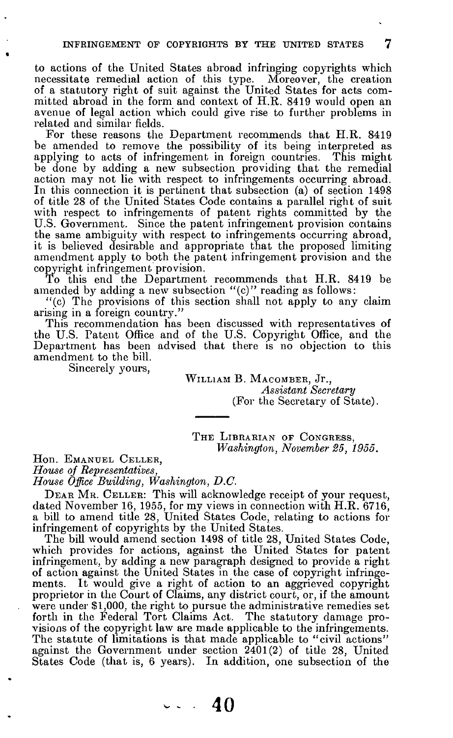to actions of the United States abroad infringing copyrights which necessitate remedial action of this type. Moreover, the creation of a statutory right of suit against the United States for acts committed abroad in the form and context of H.R. 8419 would open an avenue of legal action which could give rise to further problems in related and similar fields.

For these reasons the Department recommends that H.R. 8419 be amended to remove the possibility of its being interpreted as applying to acts of infringement in foreign countries. This might be done by adding a new subsection providing that the remedial action may not lie with respect to infringements occurring abroad. In this connection it is pertinent that subsection (a) of section 1498 of title 28 of the United States Code contains a parallel right of suit with respect to infringements of patent rights committed by the U.S. Government. Since the patent infringement provision contains the same ambiguity with respect to infringements occurring abroad, it is believed desirable and appropriate that the proposed limiting amendment apply to both the patent infringement provision and the copyright infringement provision.

To this end the Department recommends that H.R. 8419 be amended by adding a new subsection " $(c)$ " reading as follows:

"(c) The provisions of this section shall not apply to any claim arising in a foreign country."

This recommendation has been discussed with representatives of the U.S. Patent Office and of the U.S. Copyright Office, and the Department has been advised that there is no objection to this amendment to the bill.

Sincerely yours,

WILLIAM B. MACOMBER, Jr., *Assistant Secretary*  (For the Secretary of State).

THE LIBRARIAN OF CONGRESS, *Washington, November 25, 1955.* 

Hon. EMANUEL CELLER,

*House oj Representatives,* 

*House Office Building, Washington, D.C.* 

DEAR MR. CELLER: This will acknowledge receipt of your request, dated November 16, 1955, for my views in connection with H.R. 6716, a bill to amend title 28, United States Code, relating to actions for infringement of copyrights by the United States.

The bill would amend section 1498 of title 28, United States Code, which provides for actions, against the United States for patent infringement, by adding a new paragraph designed to provide a right of action against the United States in the case of copyright infringements. It would give a right of action to an aggrieved copyright proprietor in the Court of Claims, any district court, or, if the amount were under \$1,000, the right to pursue the administrative remedies set forth in the Federal Tort Claims Act. The statutory damage provisions of the copyright law are made applicable to the infringements. The statute of limitations is that made applicable to "civil actions" against the Government under section 2401(2) of title 28, United States Code (that is, 6 years). In addition, one subsection of the

**40**  $\mathbf{v}$  ,  $\mathbf{v}$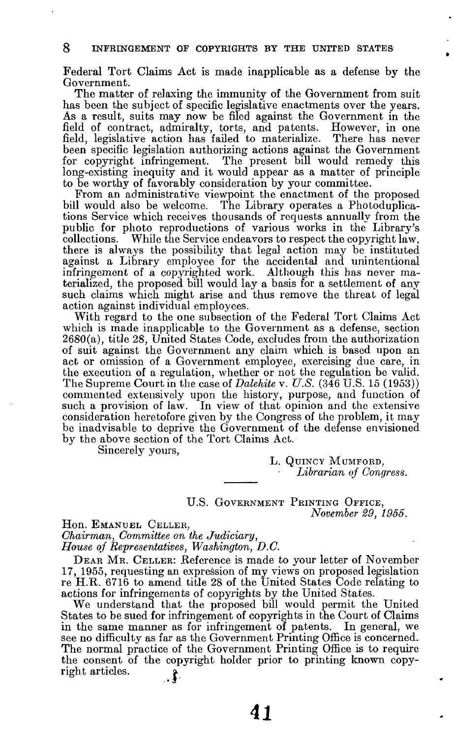Federal Tort Claims Act is made inapplicable as a defense by the Government.

The matter of relaxing the immunity of the Government from suit has been the subject of specific legislative enactments over the years. As a result, suits may now be filed against the Government in the field of contract, admiralty, torts, and patents. However, in one field, legislative action has failed to materialize. There has never been specific legislation authorizing actions against the Government for copyright infringement. The present bill would remedy this long-existing inequity and it would appear as a matter of principle to be worthy of favorably consideration by your committee.

From an administrative viewpoint the enactment of the proposed bill would also be welcome. The Library operates a Photoduplications Service which receives thousands of requests annually from the public for photo reproductions of various works in the Library's collections. While the Service endeavors to respect the copyright law, there is always the possibility that legal action may be instituted against a Library employee for the accidental and unintentional infringement *oi* a copyrighted work. Although this has never materialized, the proposed bill would lay a basis for a settlement of any such claims which might arise and thus remove the threat of legal action against individual employees.

With regard to the one subsection of the Federal Tort Claims Act which is made inapplicable to the Government as a defense, section 2680(a), title 28, United States Code, excludes from the authorization of suit against the Government any claim which is based upon an act or omission of a Government employee, exercising due care, in the execution of a regulation, whether or not the regulation be valid. The Supreme Court in the case of *Dalehite* v. *U.S.* (346 U.S. 15 (1953)) commented extensively upon the history, purpose, and function of such a provision of law. In view of that opinion and the extensive consideration heretofore given by the Congress of the problem, it may be inadvisable to deprive the Government of the defense envisioned by the above section of the Tort Claims Act.

Sincerely yours,

**L.** QUINCY MuMFORD, *Librarian of Congress.* 

U.S. GOVERNMENT PRINTING OFFICE, *November 29, 1955.* 

Hon. EMANUEL CELLER, *Chairman, Committee on the Judiciary, House oj Representatives, Washington, D.C.* 

DEAR MR. CELLER: Reference is made to your letter of November 17, 1955, requesting an expression of my views on proposed legislation re H.TR. 6716 to amend title 28 of the United States Code relating to actions for infringements of copyrights by the United States.

We understand that the proposed bill would permit the United States to be sued for infringement of copyrights in the Court of Claims in the same manner as for infringement of patents. In general, we see no difficulty as far as the Government Printing Office is concerned. The normal practice of the Government Printing Office is to require the consent of the copyright holder prior to printing known copyright articles.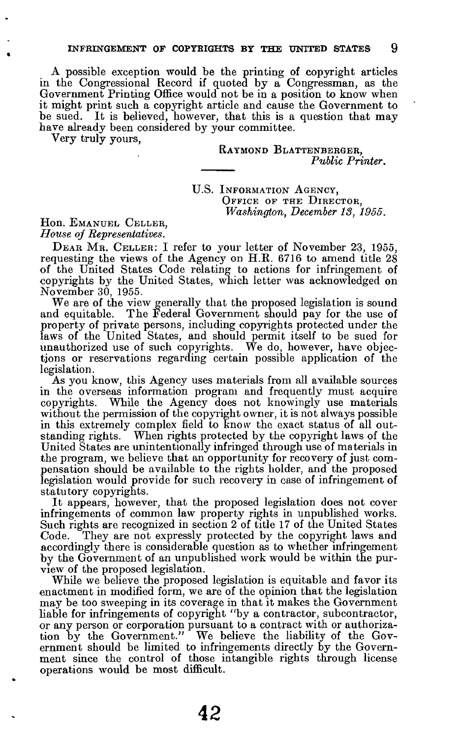A possible exception would be the printing of copyright articles in the Congressional Record if quoted by a Congressman, as the Government Printing Office would not be in a position to know when it might print such a copyright article and cause the Government to be sued. It is believed, however, that this is a question that may have already been considered by your committee.

Very truly yours,

### RAYMOND BLATTENBERGER, *Public Printer.*

U.S. INFORMATION AGENCY, OFFICE OF THE DIRECTOR. *Washington, December 18, 1955.* 

Hon. EMANUEL CELLER, *House of Representatives.* 

DEAR MR. CELLER: I refer to your letter of November 23, 1955, requesting the views of the Agency on H.R. 6716 to amend title 28 of the United States Code relating to actions for infringement of copyrights by the United States, which letter was acknowledged on November 30, 1955.

We are of the view generally that the proposed legislation is sound and equitable. The Federal Government should pay for the use of property of private persons, including copyrights protected under the laws of the United States, and should permit itself to be sued for unauthorized use of such copyrights. We do, however, have objections or reservations regarding certain possible application of the legislation.

As you know, this Agency uses materials from all available sources in the overseas information program and frequently must acquire copyrights. While the Agency does not knowingly use materials without the permission of the copyright owner, it is not always possible in this extremely complex field to know the exact status of all outstanding rights. When rights protected by the copyright laws of the United States are unintentionally infringed through use of materials in the program, we believe that an opportunity for recovery of just compensation should be available to the rights holder, and the proposed legislation would provide for such recovery in case of infringement of statutory copyrights.

It appears, however, that the proposed legislation does not cover infringements of common law property rights in unpublished works. Such rights are recognized in section 2 of title 17 of the United States Code. They are not expressly protected by the copyright laws and accordingly there is considerable question as to whether infringement by the Government of an unpublished work would be within the purview of the proposed legislation.

While we believe the proposed legislation is equitable and favor its enactment in modified form, we are of the opinion that the legislation may be too sweeping in its coverage in that it makes the Government liable for infringements of copyright "by a contractor, subcontractor, or any person or corporation pursuant to a contract with or authorization by the Government." We believe the liability of the Government should be limited to infringements directly by the Government since the control of those intangible rights through license operations would be most difficult.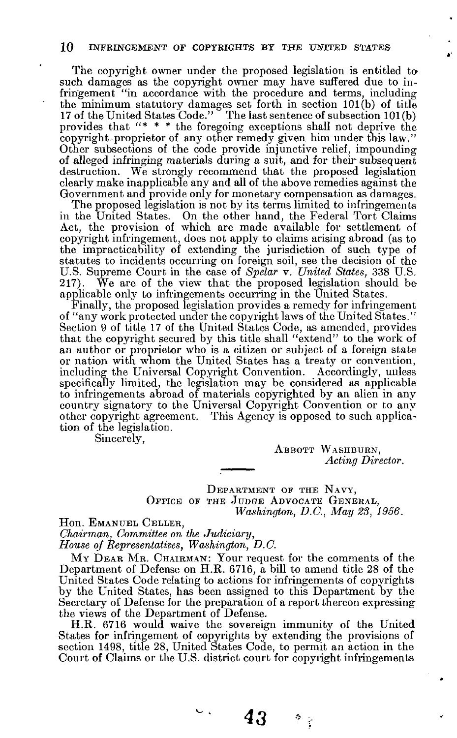The copyright owner under the proposed legislation is entitled tosuch damages as the copyright owner may have suffered due to infringement "in accordance with the procedure and terms, including the minimum statutory damages set forth in section 101(b) of title 17 of the United States Code." The last sentence of subsection 101 (b) provides that "\* \* \* the foregoing exceptions shall not deprive the copyright proprietor of any other remedy given him under this law." Other subsections of the code provide injunctive relief, impounding of alleged infringing materials during a suit, and for their subsequent destruction. We strongly recommend that the proposed legislation clearly make inapplicable any and all of the above remedies against the Government and provide only for monetary compensation as damages.

The proposed legislation is not by its terms limited to infringements in the United States. On the other hand, the Federal Tort Claims Act, the provision of which are made available for settlement of copyright infringement, does not apply to claims arising abroad (as to the impracticability of extending the jurisdiction of such type of statutes to incidents occurring on foreign soil, see the decision of the U.S. Supreme Court in the case of *Spelar v. United States,* 338 U.S. 217). We are of the view that the proposed legislation should be applicable only to infringements occurring in the United States.

Finally, the proposed legislation provides a remedy for infringement of "any work protected under the copyright laws of the United States." Section 9 of title 17 of the United States Code, as amended, provides that the copyright secured by this title shall "extend" to the work of an author or proprietor who is a citizen or subject of a foreign state or nation with whom the United States has a treaty or convention, including the Universal Copyright Convention. Accordingly, unless specifically limited, the legislation may be considered as applicable to infringements abroad of materials copyrighted by an alien in any country signatory to the Universal Copyright Convention or to any other copyright agreement. This Agency is opposed to such application of the legislation.

Sincerely,

ABBOTT WASHBURN, *Acting Director.* 

DEPARTMENT OF THE NAVY, OFFICE OF THE JUDGE ADVOCATE GENERAL, *Washington, B.C., May 28, 1956.* 

Hon. EMANUEL CELLER,

*Chairman, Committee on the Judiciary,* 

*House of Representatives, Washington, D.C.* 

MY DEAR MR. CHAIRMAN: Your request for the comments of the Department of Defense on H.R. 6716, a bill to amend title 28 of the United States Code relating to actions for infringements of copyrights by the United States, has been assigned to this Department by the Secretary of Defense for the preparation of a report thereon expressing the views of the Department of Defense.

H.R. 6716 would waive the sovereign immunity of the United States for infringement of copyrights by extending the provisions of section 1498, title 28, United States Code, to permit an action in the Court of Claims or the U.S. district court for copyright infringements

 $\sim$ 

*43 U*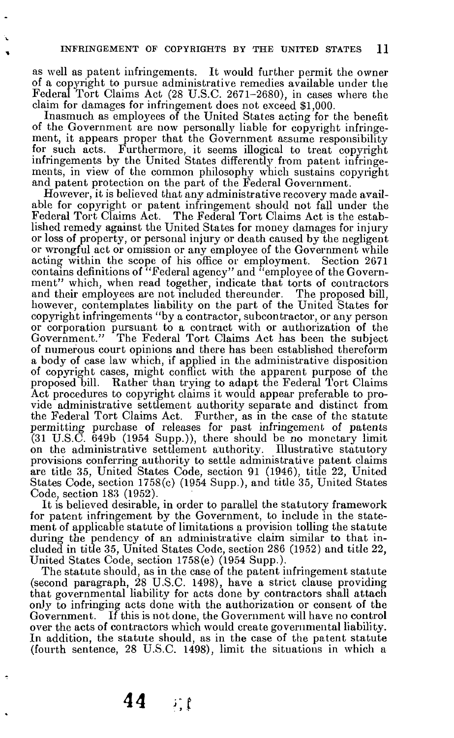as well as patent infringements. It would further permit the owner of a copyright to pursue administrative remedies available under the Federal Tort Claims Act (28 U.S.C. 2671-2680), in cases where the claim for damages for infringement does not exceed \$1,000.

Inasmuch as employees of the United States acting for the benefit of the Government are now personally liable for copyright infringement, it appears proper that the Government assume responsibility for such acts. Furthermore, it seems illogical to treat copyright infringements by the United States differently from patent infringements, in view of the common philosophy which sustains copyright and patent protection on the part of the Federal Government.

However, it is believed that any administrative recovery made available for copyright or patent infringement should not fall under the Federal Tort Claims Act. The Federal Tort Claims Act is the established remedy against the United States for money damages for injury or loss of property, or personal injury or death caused by the negligent or wrongful act or omission or any employee of the Government while acting within the scope of his office or employment. Section 2671 contains definitions of "Federal agency" and "employee of the Government" which, when read together, indicate that torts of contractors and their employees are not included thereunder. The proposed bill, however, contemplates liability on the part of the United States for copyright infringements "by a contractor, subcontractor, or any person or corporation pursuant to a contract with or authorization of the Government." The Federal Tort Claims Act has been the subject of numerous court opinions and there has been established thereform a body of case law which, if applied in the administrative disposition of copyright cases, might conflict with the apparent purpose of the proposed bill. Rather than trying to adapt the Federal Tort Claims Act procedures to copyright claims it would appear preferable to provide administrative settlement authority separate and distinct from the Federal Tort Claims Act. Further, as in the case of the statute permitting purchase of releases for past infringement of patents (31 U.S.C. 649b (1954 Supp.)), there should be no monetary limit on the administrative settlement authority. Illustrative statutory provisions conferring authority to settle administrative patent claims are title 35, United States Code, section 91 (1946), title 22, United States Code, section 1758(c) (1954 Supp.), and title 35, United States Code, section 183 (1952).

It is believed desirable, in order to parallel the statutory framework for patent infringement by the Government, to include in the statement of applicable statute of limitations a provision tolling the statute during the pendency of an administrative claim similar to that included in title 35, United States Code, section 286 (1952) and title 22, United States Code, section 1758(e) (1954 Supp.).

The statute should, as in the case of the patent infringement statute (second paragraph, 28 U.S.C. 1498), have a strict clause providing that governmental liability for acts done by contractors shall attach only to infringing acts done with the authorization or consent of the Government. If this is not done, the Government will have no control over the acts of contractors which would create governmental liability. In addition, the statute should, as in the case of the patent statute (fourth sentence, 28 U.S.C. 1498), limit the situations in which a

**44 i-.t**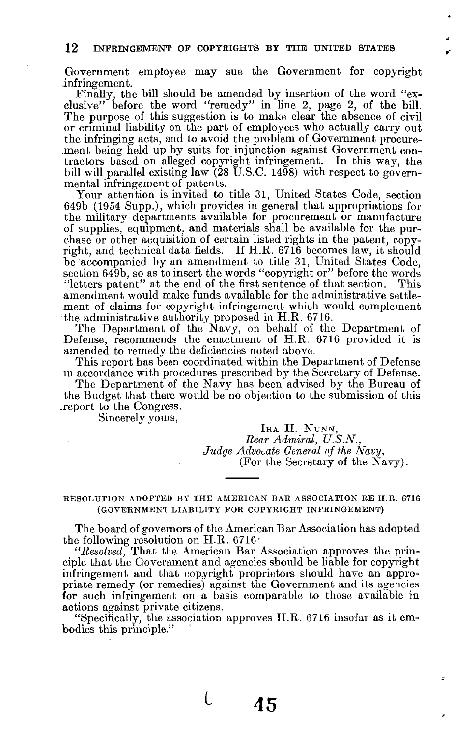### 12 INFRINGEMENT OF COPYRIGHTS BY THE UNITED STATES

Government employee may sue the Government for copyright infringement.

Finally, the bill should be amended by insertion of the word "exclusive" before the word "remedy" in line 2, page 2, of the bill. The purpose of this suggestion is to make clear the absence of civil or criminal liability on the part of employees who actually carry out the infringing acts, and to avoid the problem of Government procurement being held up by suits for injunction against Government contractors based on alleged copyright infringement. In this way, the bill will parallel existing law (28 U.S.C.  $14\overline{98}$ ) with respect to governmental infringement of patents.

Your attention is invited to title 31, United States Code, section 649b (1954 Supp.), which provides in general that appropriations for the military departments available for procurement or manufacture of supplies, equipment, and materials shall be available for the purchase or other acquisition of certain listed rights in the patent, copyright, and technical data fields. If H.R. 6716 becomes law, it should be accompanied by an amendment to title 31, United States Code, section 649b, so as to insert the words "copyright or" before the words "letters patent" at the end of the first sentence of that section. This amendment would make funds available for the administrative settlement of claims for copyright infringement which would complement the administrative authority proposed in H.R. 6716.

The Department of the Navy, on behalf of the Department of Defense, recommends the enactment of H.R. 6716 provided it is amended to remedy the deficiencies noted above.

This report has been coordinated within the Department of Defense in accordance with procedures prescribed by the Secretary of Defense.

The Department of the Navy has been advised by the Bureau of the Budget that there would be no objection to the submission of this ireport to the Congress.

Sincerely yours,

IRA H. NUNN, *Rear Admiral, U.S.N., Judge Advocate General of the Navy,*  (For the Secretary of the Navy).

RESOLUTION ADOPTED BY THE AMERICAN BAR ASSOCIATION RE H.R. 6716 (GOVERNMENT LIABILITY FOR COPYRIGHT INFRINGEMENT)

The board of governors of the American Bar Association has adopted the following resolution on H.R. 6716 $\cdot$ 

"Resolved, That the American Bar Association approves the principle that the Government and agencies should be liable for copyright infringement and that copyright proprietors should have an appropriate remedy (or remedies) against the Government and its agencies for such infringement on a basis comparable to those available in actions against private citizens.

"Specifically, the association approves H.R. 6716 insofar as it embodies this principle."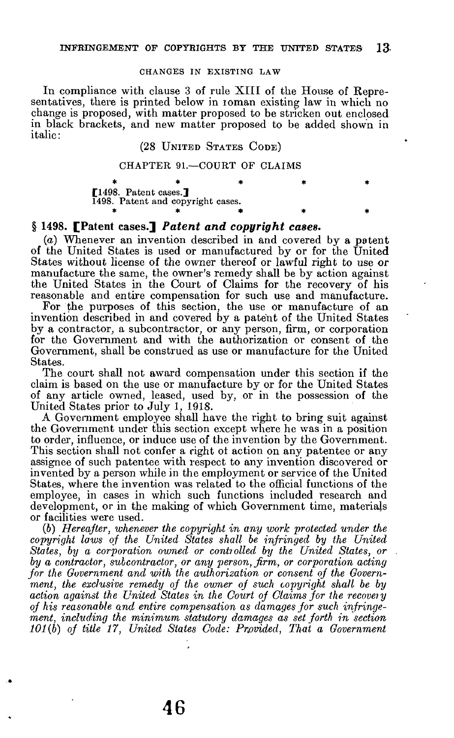#### CHANGES IN EXISTING LAW

In compliance with clause 3 of rule XIII of the House of Representatives, there is printed below in ioman existing law in which no change is proposed, with matter proposed to be stricken out enclosed in black brackets, and new matter proposed to be added shown in italic:

# (28 UNITED STATES CODE)

### CHAPTER 91.—COURT OF CLAIMS

| [1498. Patent cases.]             |  |  |  |
|-----------------------------------|--|--|--|
| 1498. Patent and copyright cases. |  |  |  |
|                                   |  |  |  |

### **§ 1498. [Patent cases.]** *Patent and copyright cases.*

*(a)* Whenever an invention described in and covered by a potent of the United States is used or manufactured by or for the United States without license of the owner thereof or lawful right to use or manufacture the same, the owner's remedy shall be by action against the United States in the Court of Claims for the recovery of his reasonable and entire compensation for such use and manufacture.

For the purposes of this section, the use or manufacture of an invention described in and covered by a patent of the United States by a contractor, a subcontractor, or any person, firm, or corporation for the Government and with the authorization or consent of the Government, shall be construed as use or manufacture for the United States.

The court shall not award compensation under this section if the claim is based on the use or manufacture by or for the United States of any article owned, leased, used by, or in the possession of the United States prior to July 1, 1918.

A Government employee shall have the right to bring suit against the Government under this section except where he was in a position to order, influence, or induce use of the invention by the Government. This section shall not confer a right of action on any patentee or any assignee of such patentee with respect to any invention discovered or invented by a person while in the employment or service of the United States, where the invention was related to the official functions of the employee, in cases in which such functions included research and development, or in the making of which Government time, materials or facilities were used.

(6) *Hereafter, whenever the copyright in any work protected under the copyright laws of the United States shall be infringed by the United States, by a corporation owned or controlled by the United States, or by a contractor, subcontractor, or any person, firm, or corporation acting for the Government and with the authorization or consent of the Government, the exclusive remedy of the owner of such copyright shall be by action against the United States in the Court of Claims for the recoveiy of his reasonable and entire compensation as damages for such infringement, including the minimum statutory damages as set forth in section 101(b) of title 17, United States Code: Provided, That a Government*